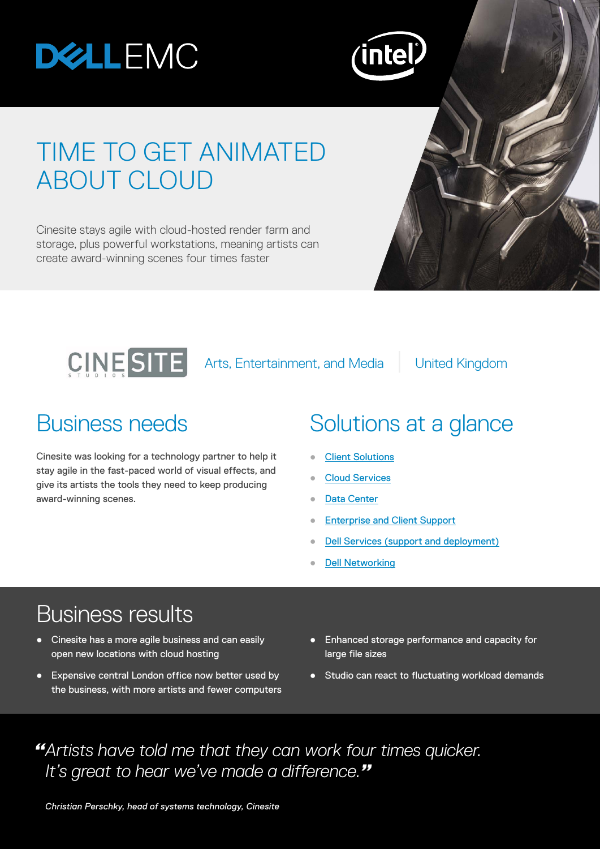# **DELLEMC**



## TIME TO GET ANIMATED ABOUT CLOUD

Cinesite stays agile with cloud-hosted render farm and storage, plus powerful workstations, meaning artists can create award-winning scenes four times faster



Cinesite was looking for a technology partner to help it stay agile in the fast-paced world of visual effects, and give its artists the tools they need to keep producing award-winning scenes.

#### Business needs Solutions at a glance

- **[Client Solutions](http://www.dell.com/uk/business/p/precision-desktops)**
- **[Cloud Services](http://www.dell.com/en-us/work/learn/dell-cloud-computing)**
- [Data Center](http://www.dell.com/en-us/work/learn/data-center)
- **[Enterprise and Client Support](http://www.dell.com/learn/us/en/04/by-service-type-support-services)**
- **[Dell Services \(support and deployment\)](http://www.dell.com/en-uk/work/learn/by-service-type-deployment)**
- **[Dell Networking](http://www.dell.com/en-us/work/learn/networking)**

#### Business results

- **•** Cinesite has a more agile business and can easily open new locations with cloud hosting
- Expensive central London office now better used by the business, with more artists and fewer computers
- Enhanced storage performance and capacity for large file sizes
- Studio can react to fluctuating workload demands

*"Artists have told me that they can work four times quicker. It's great to hear we've made a difference."*

*Christian Perschky, head of systems technology, Cinesite*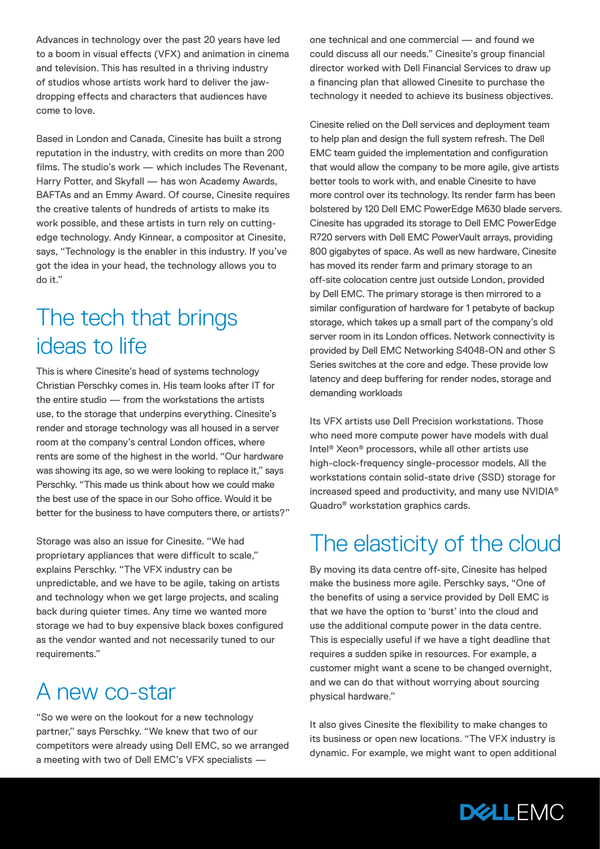Advances in technology over the past 20 years have led to a boom in visual effects (VFX) and animation in cinema and television. This has resulted in a thriving industry of studios whose artists work hard to deliver the jawdropping effects and characters that audiences have come to love.

Based in London and Canada, Cinesite has built a strong reputation in the industry, with credits on more than 200 films. The studio's work — which includes The Revenant, Harry Potter, and Skyfall — has won Academy Awards, BAFTAs and an Emmy Award. Of course, Cinesite requires the creative talents of hundreds of artists to make its work possible, and these artists in turn rely on cuttingedge technology. Andy Kinnear, a compositor at Cinesite, says, "Technology is the enabler in this industry. If you've got the idea in your head, the technology allows you to do it."

#### The tech that brings ideas to life

This is where Cinesite's head of systems technology Christian Perschky comes in. His team looks after IT for the entire studio — from the workstations the artists use, to the storage that underpins everything. Cinesite's render and storage technology was all housed in a server room at the company's central London offices, where rents are some of the highest in the world. "Our hardware was showing its age, so we were looking to replace it," says Perschky. "This made us think about how we could make the best use of the space in our Soho office. Would it be better for the business to have computers there, or artists?"

Storage was also an issue for Cinesite. "We had proprietary appliances that were difficult to scale," explains Perschky. "The VFX industry can be unpredictable, and we have to be agile, taking on artists and technology when we get large projects, and scaling back during quieter times. Any time we wanted more storage we had to buy expensive black boxes configured as the vendor wanted and not necessarily tuned to our requirements."

#### A new co-star

"So we were on the lookout for a new technology partner," says Perschky. "We knew that two of our competitors were already using Dell EMC, so we arranged a meeting with two of Dell EMC's VFX specialists —

one technical and one commercial — and found we could discuss all our needs." Cinesite's group financial director worked with Dell Financial Services to draw up a financing plan that allowed Cinesite to purchase the technology it needed to achieve its business objectives.

Cinesite relied on the Dell services and deployment team to help plan and design the full system refresh. The Dell EMC team guided the implementation and configuration that would allow the company to be more agile, give artists better tools to work with, and enable Cinesite to have more control over its technology. Its render farm has been bolstered by 120 Dell EMC PowerEdge M630 blade servers. Cinesite has upgraded its storage to Dell EMC PowerEdge R720 servers with Dell EMC PowerVault arrays, providing 800 gigabytes of space. As well as new hardware, Cinesite has moved its render farm and primary storage to an off-site colocation centre just outside London, provided by Dell EMC. The primary storage is then mirrored to a similar configuration of hardware for 1 petabyte of backup storage, which takes up a small part of the company's old server room in its London offices. Network connectivity is provided by Dell EMC Networking S4048-ON and other S Series switches at the core and edge. These provide low latency and deep buffering for render nodes, storage and demanding workloads

Its VFX artists use Dell Precision workstations. Those who need more compute power have models with dual Intel® Xeon® processors, while all other artists use high-clock-frequency single-processor models. All the workstations contain solid-state drive (SSD) storage for increased speed and productivity, and many use NVIDIA® Quadro® workstation graphics cards.

#### The elasticity of the cloud

By moving its data centre off-site, Cinesite has helped make the business more agile. Perschky says, "One of the benefits of using a service provided by Dell EMC is that we have the option to 'burst' into the cloud and use the additional compute power in the data centre. This is especially useful if we have a tight deadline that requires a sudden spike in resources. For example, a customer might want a scene to be changed overnight, and we can do that without worrying about sourcing physical hardware."

It also gives Cinesite the flexibility to make changes to its business or open new locations. "The VFX industry is dynamic. For example, we might want to open additional